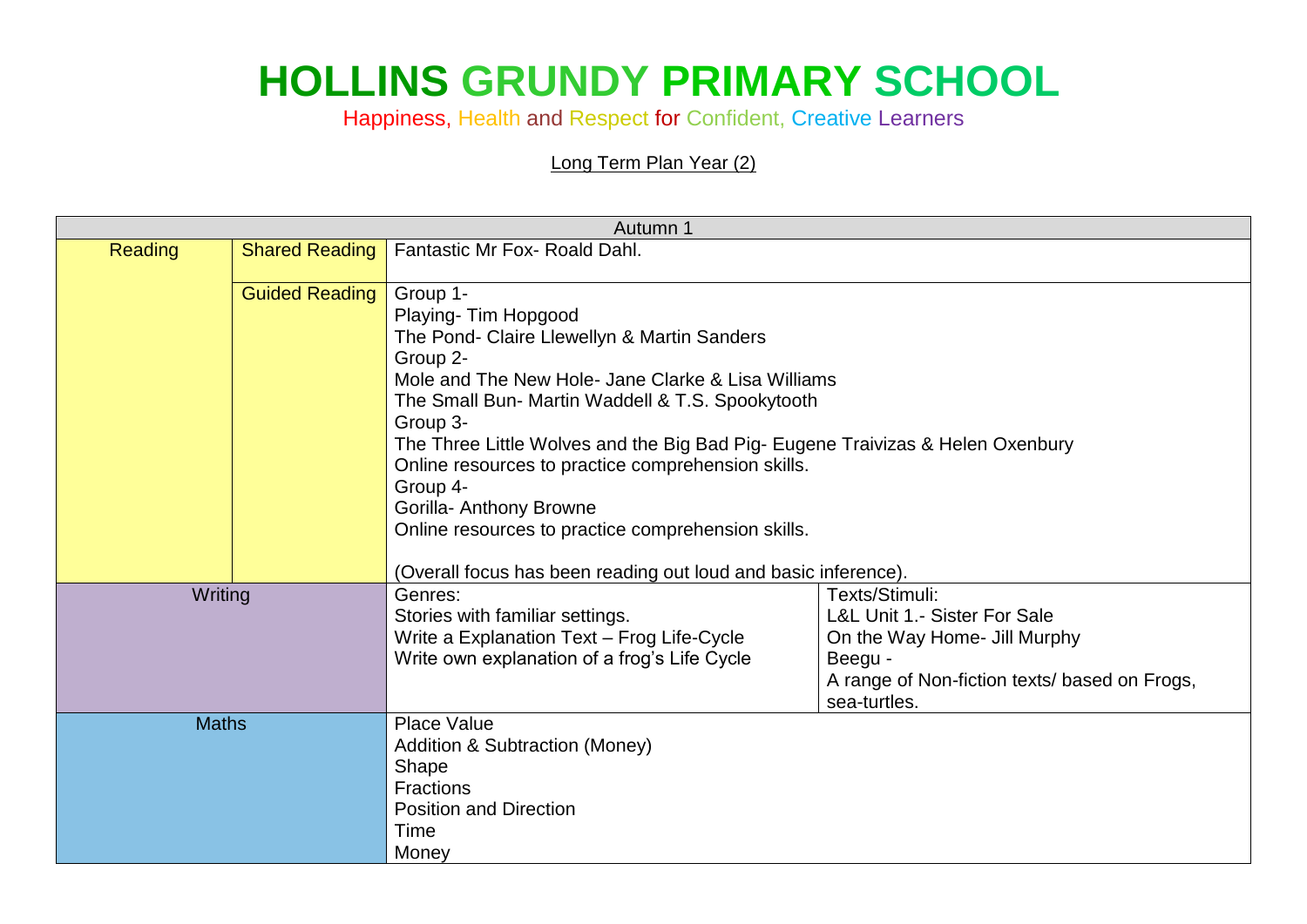## **HOLLINS GRUNDY PRIMARY SCHOOL**

Happiness, Health and Respect for Confident, Creative Learners

Long Term Plan Year (2)

| Autumn 1       |                       |                                                                                                                                                                                                                                                                                                                                                                                                                                                        |                                                                                                                                                            |
|----------------|-----------------------|--------------------------------------------------------------------------------------------------------------------------------------------------------------------------------------------------------------------------------------------------------------------------------------------------------------------------------------------------------------------------------------------------------------------------------------------------------|------------------------------------------------------------------------------------------------------------------------------------------------------------|
| <b>Reading</b> | <b>Shared Reading</b> | Fantastic Mr Fox- Roald Dahl.                                                                                                                                                                                                                                                                                                                                                                                                                          |                                                                                                                                                            |
|                | <b>Guided Reading</b> | Group 1-<br>Playing- Tim Hopgood<br>The Pond- Claire Llewellyn & Martin Sanders<br>Group 2-<br>Mole and The New Hole- Jane Clarke & Lisa Williams<br>The Small Bun- Martin Waddell & T.S. Spookytooth<br>Group 3-<br>The Three Little Wolves and the Big Bad Pig- Eugene Traivizas & Helen Oxenbury<br>Online resources to practice comprehension skills.<br>Group 4-<br>Gorilla- Anthony Browne<br>Online resources to practice comprehension skills. |                                                                                                                                                            |
| Writing        |                       | (Overall focus has been reading out loud and basic inference).<br>Genres:<br>Stories with familiar settings.<br>Write a Explanation Text - Frog Life-Cycle<br>Write own explanation of a frog's Life Cycle                                                                                                                                                                                                                                             | Texts/Stimuli:<br>L&L Unit 1.- Sister For Sale<br>On the Way Home- Jill Murphy<br>Beegu -<br>A range of Non-fiction texts/ based on Frogs,<br>sea-turtles. |
| <b>Maths</b>   |                       | <b>Place Value</b><br><b>Addition &amp; Subtraction (Money)</b><br>Shape<br><b>Fractions</b><br><b>Position and Direction</b><br>Time<br>Money                                                                                                                                                                                                                                                                                                         |                                                                                                                                                            |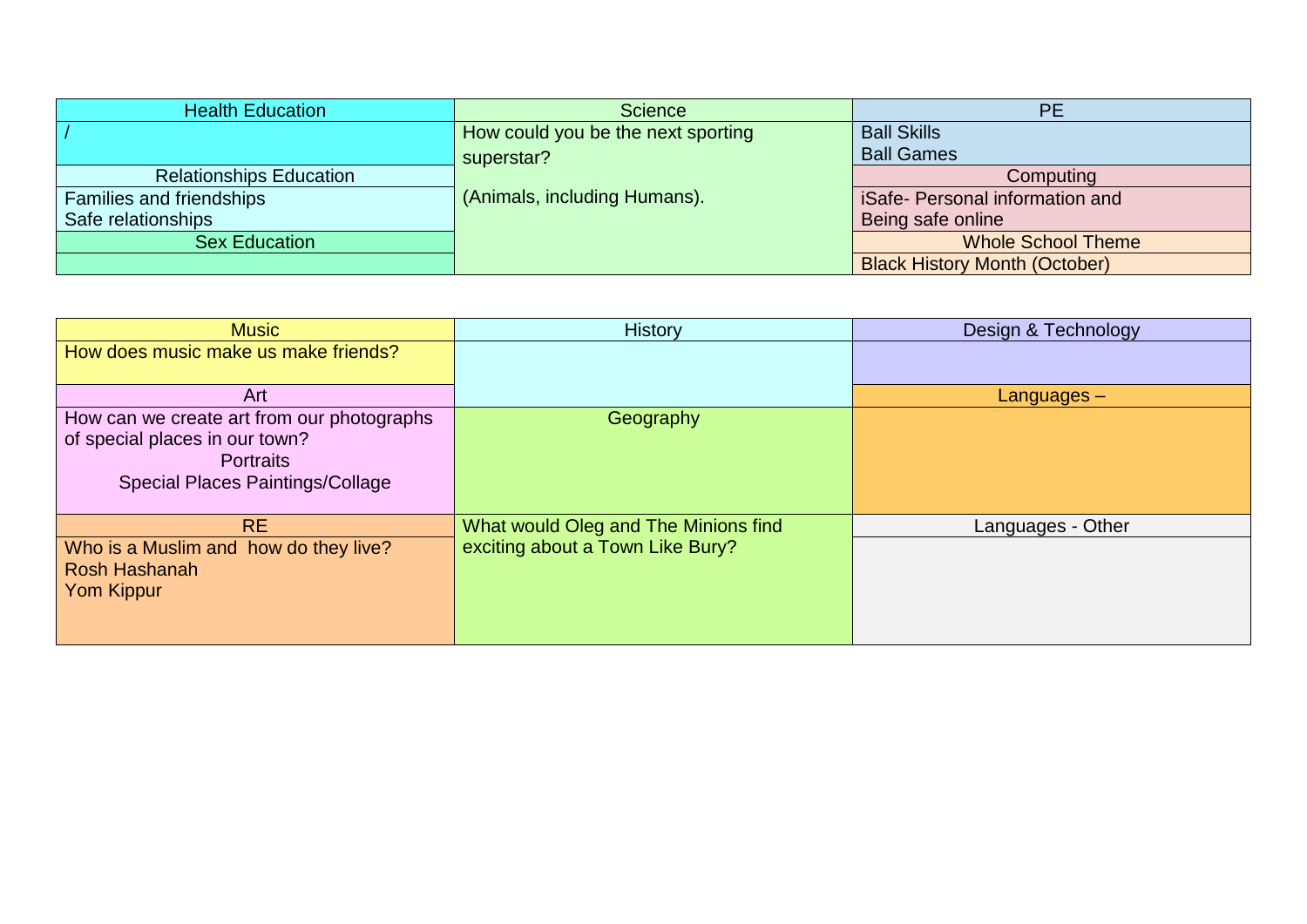| <b>Health Education</b>        | <b>Science</b>                     | <b>PE</b>                            |
|--------------------------------|------------------------------------|--------------------------------------|
|                                | How could you be the next sporting | <b>Ball Skills</b>                   |
|                                | superstar?                         | <b>Ball Games</b>                    |
| <b>Relationships Education</b> |                                    | Computing                            |
| Families and friendships       | (Animals, including Humans).       | iSafe- Personal information and      |
| Safe relationships             |                                    | Being safe online                    |
| <b>Sex Education</b>           |                                    | <b>Whole School Theme</b>            |
|                                |                                    | <b>Black History Month (October)</b> |

| <b>Music</b>                               | <b>History</b>                       | Design & Technology |
|--------------------------------------------|--------------------------------------|---------------------|
| How does music make us make friends?       |                                      |                     |
|                                            |                                      |                     |
| Art                                        |                                      | $L$ anguages $-$    |
| How can we create art from our photographs | Geography                            |                     |
| of special places in our town?             |                                      |                     |
| <b>Portraits</b>                           |                                      |                     |
| <b>Special Places Paintings/Collage</b>    |                                      |                     |
|                                            |                                      |                     |
| <b>RE</b>                                  | What would Oleg and The Minions find | Languages - Other   |
| Who is a Muslim and how do they live?      | exciting about a Town Like Bury?     |                     |
| Rosh Hashanah                              |                                      |                     |
| <b>Yom Kippur</b>                          |                                      |                     |
|                                            |                                      |                     |
|                                            |                                      |                     |
|                                            |                                      |                     |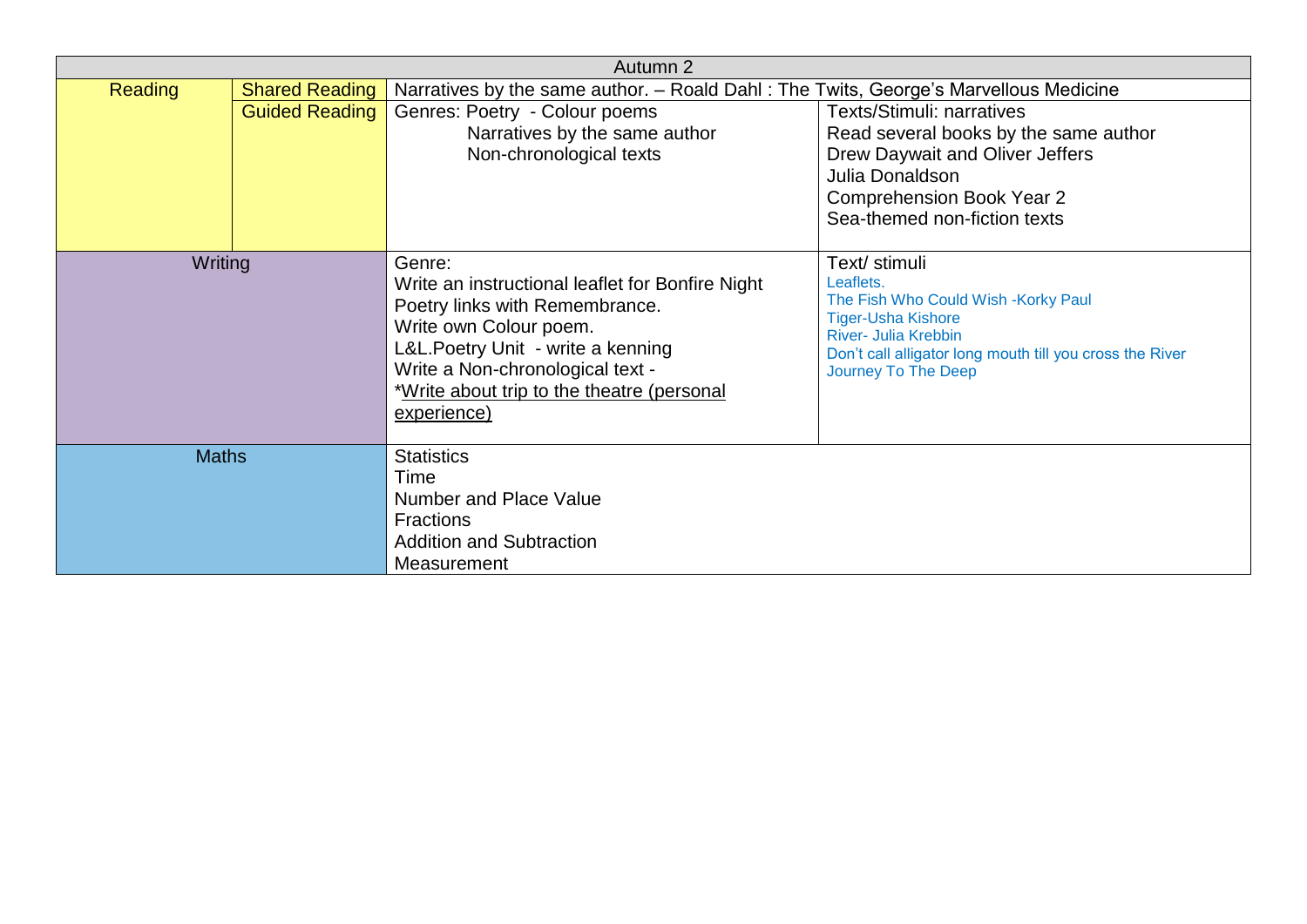|                                         |                       | Autumn 2                                                                                                                                                                                                                                                     |                                                                                                                                                                                                           |
|-----------------------------------------|-----------------------|--------------------------------------------------------------------------------------------------------------------------------------------------------------------------------------------------------------------------------------------------------------|-----------------------------------------------------------------------------------------------------------------------------------------------------------------------------------------------------------|
| <b>Reading</b><br><b>Shared Reading</b> |                       | Narratives by the same author. - Roald Dahl: The Twits, George's Marvellous Medicine                                                                                                                                                                         |                                                                                                                                                                                                           |
|                                         | <b>Guided Reading</b> | Genres: Poetry - Colour poems<br>Narratives by the same author<br>Non-chronological texts                                                                                                                                                                    | <b>Texts/Stimuli: narratives</b><br>Read several books by the same author<br>Drew Daywait and Oliver Jeffers<br>Julia Donaldson<br><b>Comprehension Book Year 2</b><br>Sea-themed non-fiction texts       |
| Writing                                 |                       | Genre:<br>Write an instructional leaflet for Bonfire Night<br>Poetry links with Remembrance.<br>Write own Colour poem.<br>L&L.Poetry Unit - write a kenning<br>Write a Non-chronological text -<br>*Write about trip to the theatre (personal<br>experience) | Text/ stimuli<br>Leaflets.<br>The Fish Who Could Wish -Korky Paul<br><b>Tiger-Usha Kishore</b><br>River- Julia Krebbin<br>Don't call alligator long mouth till you cross the River<br>Journey To The Deep |
| <b>Maths</b>                            |                       | <b>Statistics</b><br>Time<br>Number and Place Value<br><b>Fractions</b><br><b>Addition and Subtraction</b><br>Measurement                                                                                                                                    |                                                                                                                                                                                                           |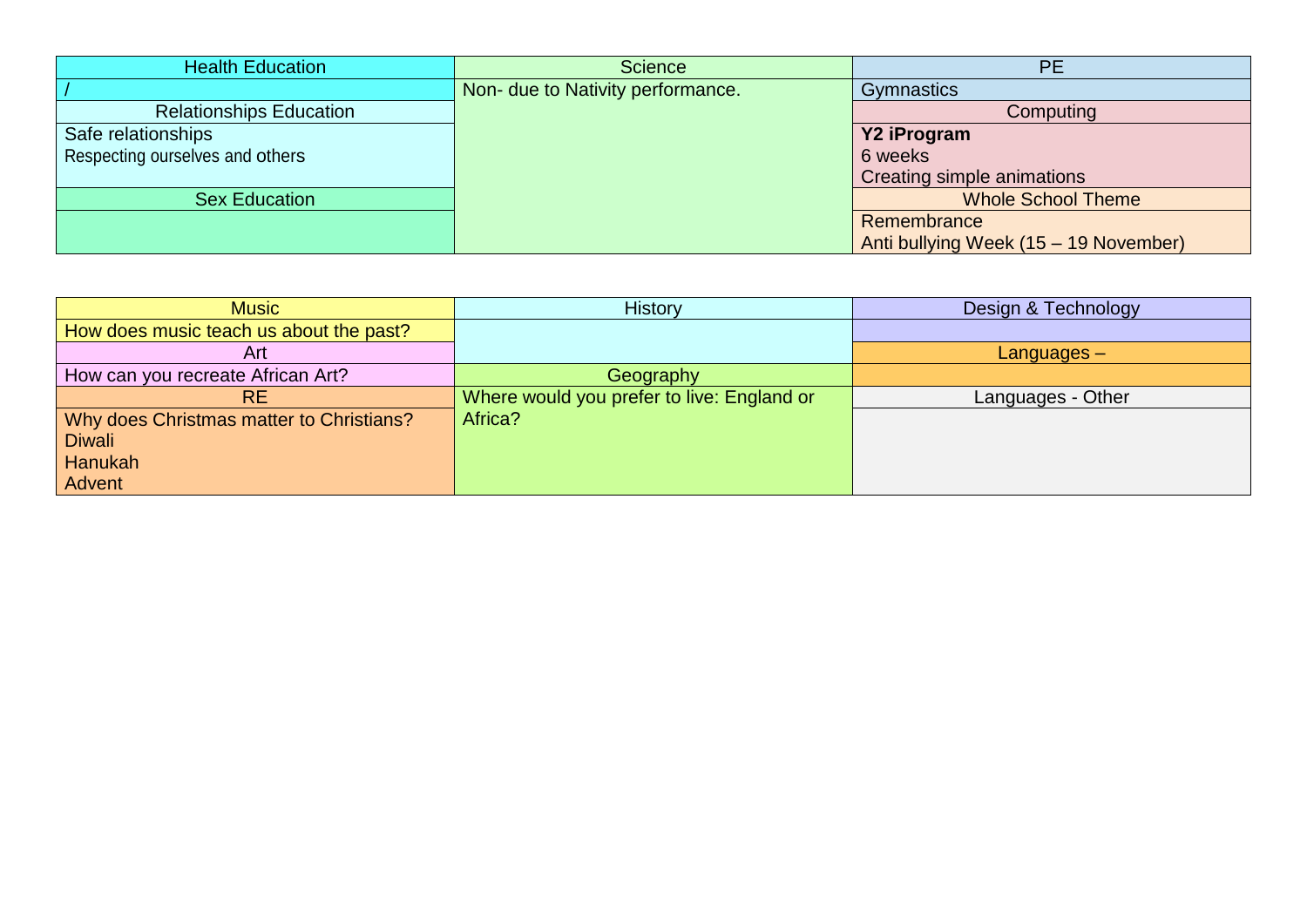| <b>Health Education</b>         | <b>Science</b>                    | PE                                    |
|---------------------------------|-----------------------------------|---------------------------------------|
|                                 | Non- due to Nativity performance. | Gymnastics                            |
| <b>Relationships Education</b>  |                                   | Computing                             |
| Safe relationships              |                                   | Y2 iProgram                           |
| Respecting ourselves and others |                                   | 6 weeks                               |
|                                 |                                   | Creating simple animations            |
| <b>Sex Education</b>            |                                   | <b>Whole School Theme</b>             |
|                                 |                                   | Remembrance                           |
|                                 |                                   | Anti bullying Week (15 - 19 November) |

| <b>Music</b>                             | <b>History</b>                             | Design & Technology |
|------------------------------------------|--------------------------------------------|---------------------|
| How does music teach us about the past?  |                                            |                     |
| Art                                      |                                            | $L$ anguages $-$    |
| How can you recreate African Art?        | Geography                                  |                     |
| RE.                                      | Where would you prefer to live: England or | Languages - Other   |
| Why does Christmas matter to Christians? | Africa?                                    |                     |
| <b>Diwali</b>                            |                                            |                     |
| Hanukah                                  |                                            |                     |
| Advent                                   |                                            |                     |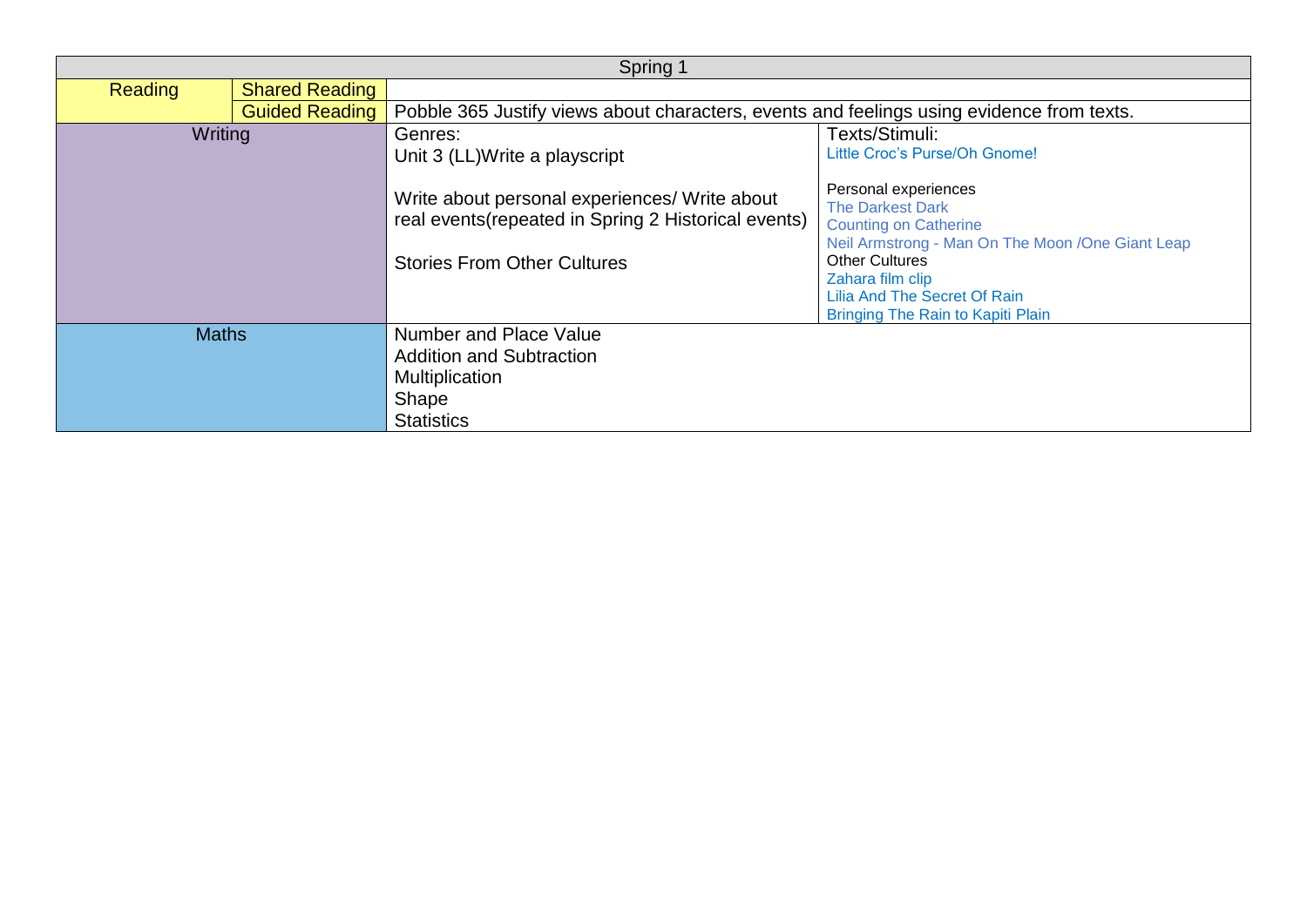|                |                       | Spring 1                                                                                                                                                                                |                                                                                                                                                                                                                                                                      |
|----------------|-----------------------|-----------------------------------------------------------------------------------------------------------------------------------------------------------------------------------------|----------------------------------------------------------------------------------------------------------------------------------------------------------------------------------------------------------------------------------------------------------------------|
| <b>Reading</b> | <b>Shared Reading</b> |                                                                                                                                                                                         |                                                                                                                                                                                                                                                                      |
|                | <b>Guided Reading</b> | Pobble 365 Justify views about characters, events and feelings using evidence from texts.                                                                                               |                                                                                                                                                                                                                                                                      |
| Writing        |                       | Genres:<br>Unit 3 (LL)Write a playscript<br>Write about personal experiences/ Write about<br>real events (repeated in Spring 2 Historical events)<br><b>Stories From Other Cultures</b> | Texts/Stimuli:<br>Little Croc's Purse/Oh Gnome!<br>Personal experiences<br><b>The Darkest Dark</b><br><b>Counting on Catherine</b><br>Neil Armstrong - Man On The Moon / One Giant Leap<br><b>Other Cultures</b><br>Zahara film clip<br>Lilia And The Secret Of Rain |
| <b>Maths</b>   |                       | <b>Number and Place Value</b><br><b>Addition and Subtraction</b><br>Multiplication<br>Shape<br><b>Statistics</b>                                                                        | Bringing The Rain to Kapiti Plain                                                                                                                                                                                                                                    |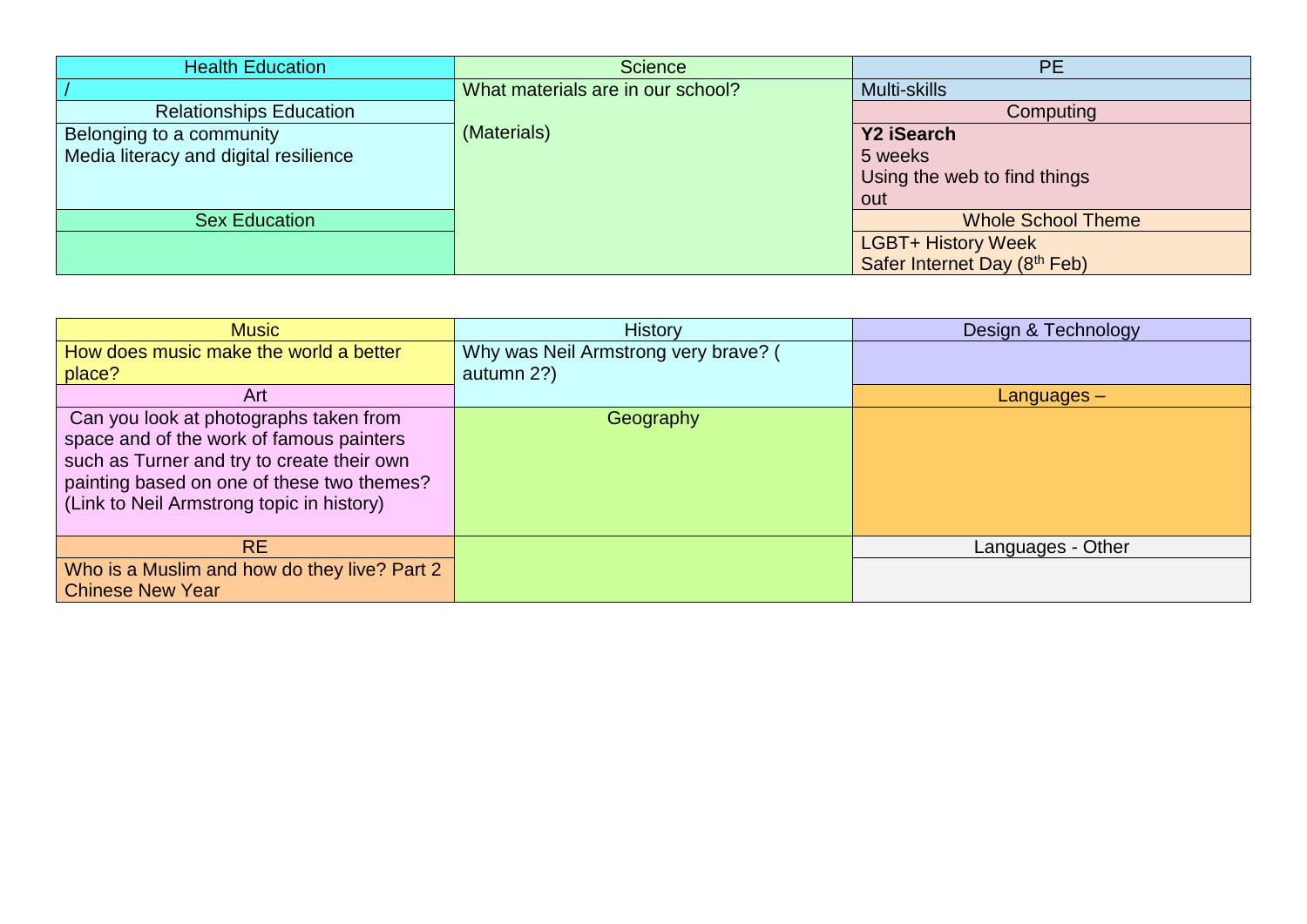| <b>Health Education</b>               | <b>Science</b>                    | <b>PE</b>                    |
|---------------------------------------|-----------------------------------|------------------------------|
|                                       | What materials are in our school? | Multi-skills                 |
| <b>Relationships Education</b>        |                                   | Computing                    |
| Belonging to a community              | (Materials)                       | Y2 iSearch                   |
| Media literacy and digital resilience |                                   | 5 weeks                      |
|                                       |                                   | Using the web to find things |
|                                       |                                   | out                          |
| <b>Sex Education</b>                  |                                   | <b>Whole School Theme</b>    |
|                                       |                                   | <b>LGBT+ History Week</b>    |
|                                       |                                   | Safer Internet Day (8th Feb) |

| <b>Music</b>                                                                                                                                                                                                                | <b>History</b>                       | Design & Technology |
|-----------------------------------------------------------------------------------------------------------------------------------------------------------------------------------------------------------------------------|--------------------------------------|---------------------|
| How does music make the world a better                                                                                                                                                                                      | Why was Neil Armstrong very brave? ( |                     |
| place?                                                                                                                                                                                                                      | autumn 2?)                           |                     |
| Art                                                                                                                                                                                                                         |                                      | Languages –         |
| Can you look at photographs taken from<br>space and of the work of famous painters<br>such as Turner and try to create their own<br>painting based on one of these two themes?<br>(Link to Neil Armstrong topic in history) | Geography                            |                     |
| <b>RE</b>                                                                                                                                                                                                                   |                                      | Languages - Other   |
| Who is a Muslim and how do they live? Part 2                                                                                                                                                                                |                                      |                     |
| <b>Chinese New Year</b>                                                                                                                                                                                                     |                                      |                     |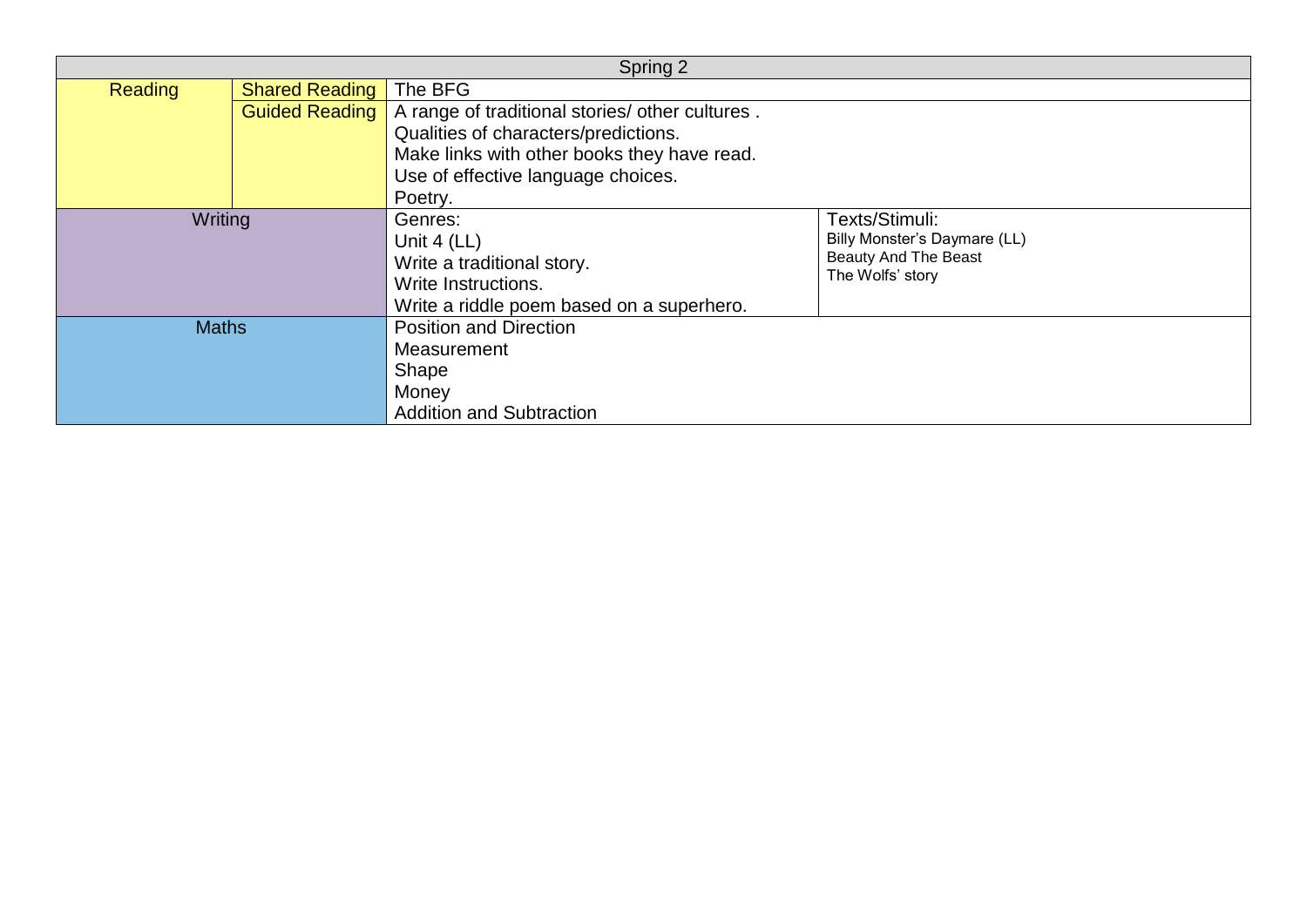| Spring 2       |                       |                                                                                                                            |                                                                                                   |
|----------------|-----------------------|----------------------------------------------------------------------------------------------------------------------------|---------------------------------------------------------------------------------------------------|
| <b>Reading</b> | <b>Shared Reading</b> | The BFG                                                                                                                    |                                                                                                   |
|                |                       | Guided Reading   A range of traditional stories/ other cultures.                                                           |                                                                                                   |
|                |                       | Qualities of characters/predictions.                                                                                       |                                                                                                   |
|                |                       | Make links with other books they have read.                                                                                |                                                                                                   |
|                |                       | Use of effective language choices.                                                                                         |                                                                                                   |
|                |                       | Poetry.                                                                                                                    |                                                                                                   |
| Writing        |                       | Genres:<br>Unit $4$ (LL)<br>Write a traditional story.<br>Write Instructions.<br>Write a riddle poem based on a superhero. | Texts/Stimuli:<br>Billy Monster's Daymare (LL)<br><b>Beauty And The Beast</b><br>The Wolfs' story |
| <b>Maths</b>   |                       | <b>Position and Direction</b><br>Measurement<br>Shape<br>Money<br><b>Addition and Subtraction</b>                          |                                                                                                   |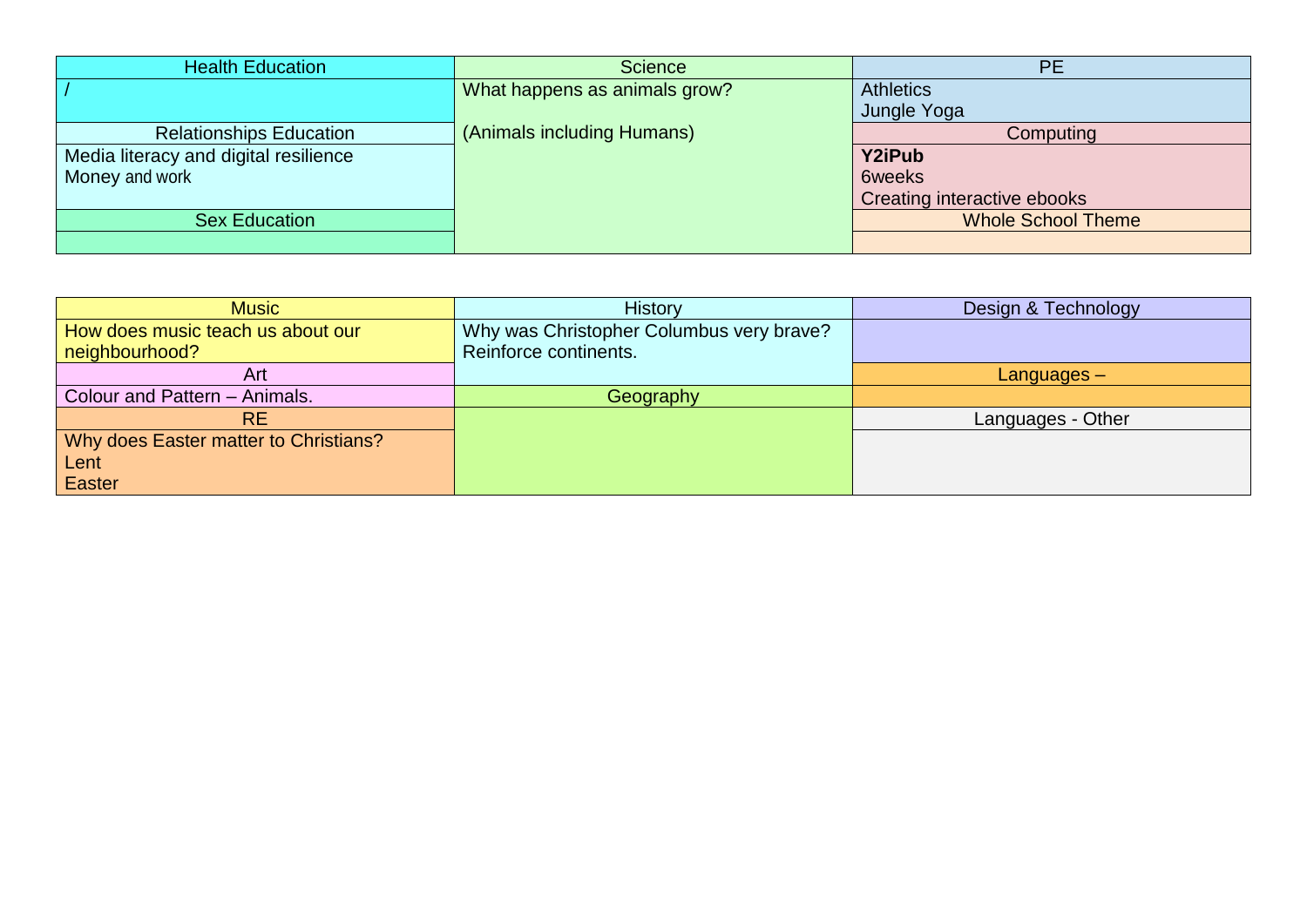| <b>Health Education</b>               | <b>Science</b>                | <b>PE</b>                   |
|---------------------------------------|-------------------------------|-----------------------------|
|                                       | What happens as animals grow? | <b>Athletics</b>            |
|                                       |                               | Jungle Yoga                 |
| <b>Relationships Education</b>        | (Animals including Humans)    | Computing                   |
| Media literacy and digital resilience |                               | <b>Y2iPub</b>               |
| Money and work                        |                               | <b>6weeks</b>               |
|                                       |                               | Creating interactive ebooks |
| <b>Sex Education</b>                  |                               | <b>Whole School Theme</b>   |
|                                       |                               |                             |

| <b>Music</b>                          | <b>History</b>                           | Design & Technology |
|---------------------------------------|------------------------------------------|---------------------|
| How does music teach us about our     | Why was Christopher Columbus very brave? |                     |
| neighbourhood?                        | Reinforce continents.                    |                     |
| Art                                   |                                          | $L$ anguages $-$    |
| Colour and Pattern - Animals.         | Geography                                |                     |
| <b>RE</b>                             |                                          | Languages - Other   |
| Why does Easter matter to Christians? |                                          |                     |
| Lent                                  |                                          |                     |
| Easter                                |                                          |                     |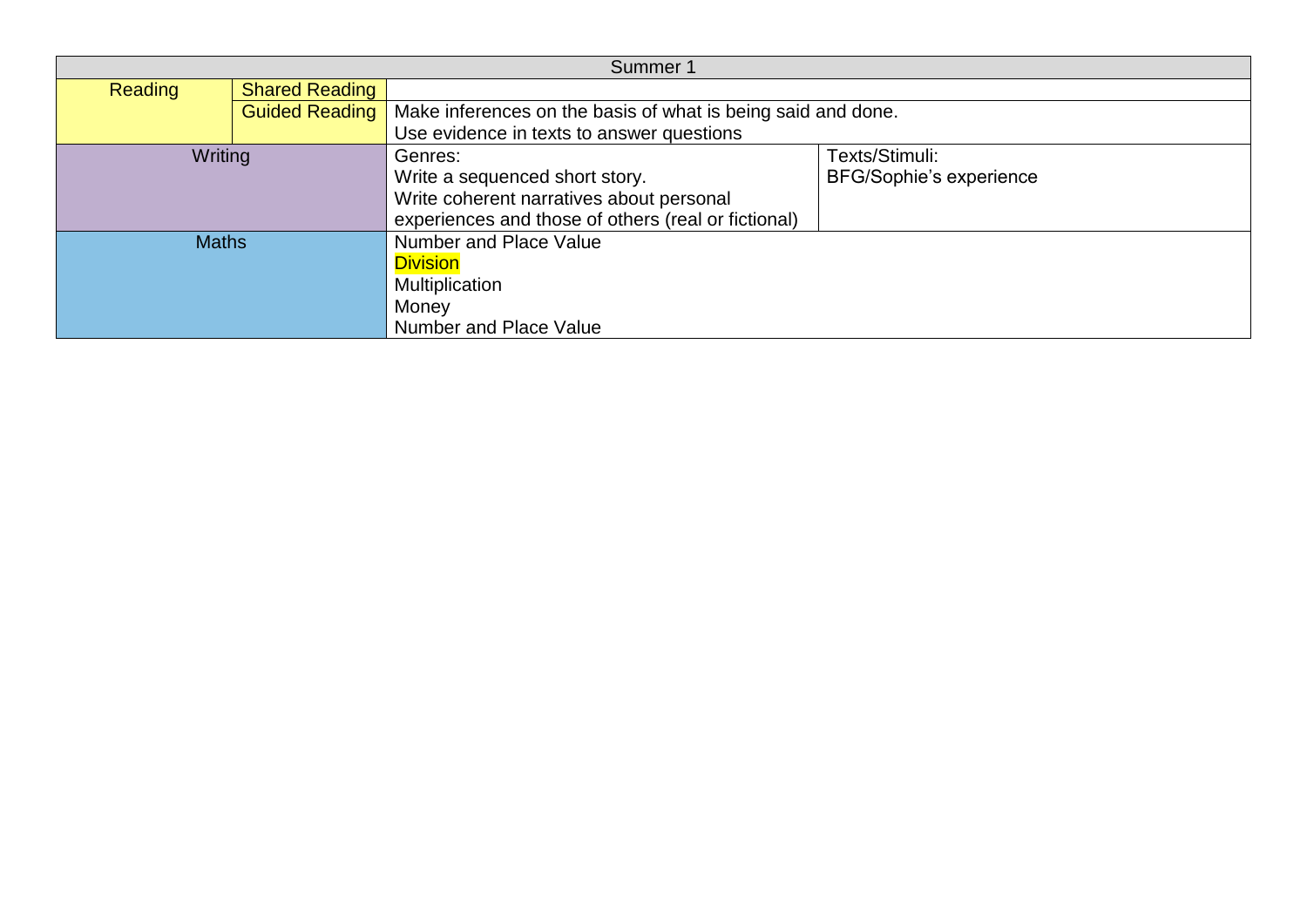| Summer 1       |                       |                                                              |                                |
|----------------|-----------------------|--------------------------------------------------------------|--------------------------------|
| <b>Reading</b> | <b>Shared Reading</b> |                                                              |                                |
|                | <b>Guided Reading</b> | Make inferences on the basis of what is being said and done. |                                |
|                |                       | Use evidence in texts to answer questions                    |                                |
| Writing        |                       | Genres:                                                      | Texts/Stimuli:                 |
|                |                       | Write a sequenced short story.                               | <b>BFG/Sophie's experience</b> |
|                |                       | Write coherent narratives about personal                     |                                |
|                |                       | experiences and those of others (real or fictional)          |                                |
| <b>Maths</b>   |                       | Number and Place Value                                       |                                |
|                |                       | <b>Division</b>                                              |                                |
|                |                       | Multiplication                                               |                                |
|                |                       | Money                                                        |                                |
|                |                       | <b>Number and Place Value</b>                                |                                |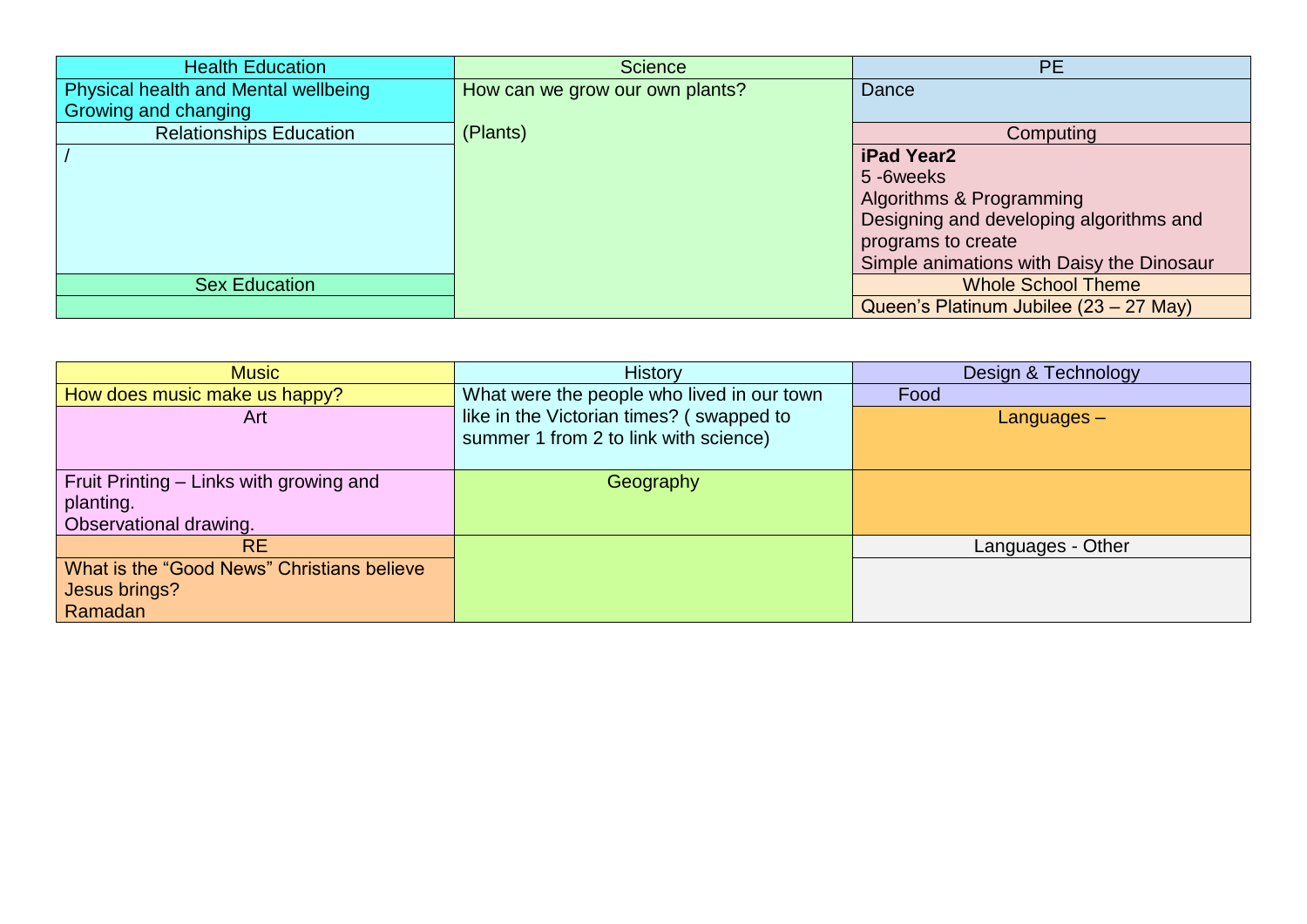| <b>Health Education</b>              | <b>Science</b>                  | <b>PE</b>                                 |
|--------------------------------------|---------------------------------|-------------------------------------------|
| Physical health and Mental wellbeing | How can we grow our own plants? | Dance                                     |
| Growing and changing                 |                                 |                                           |
| <b>Relationships Education</b>       | (Plants)                        | Computing                                 |
|                                      |                                 | iPad Year2                                |
|                                      |                                 | 5-6weeks                                  |
|                                      |                                 | Algorithms & Programming                  |
|                                      |                                 | Designing and developing algorithms and   |
|                                      |                                 | programs to create                        |
|                                      |                                 | Simple animations with Daisy the Dinosaur |
| <b>Sex Education</b>                 |                                 | <b>Whole School Theme</b>                 |
|                                      |                                 | Queen's Platinum Jubilee (23 – 27 May)    |

| <b>Music</b>                               | <b>History</b>                             | Design & Technology |
|--------------------------------------------|--------------------------------------------|---------------------|
| How does music make us happy?              | What were the people who lived in our town | Food                |
| Art                                        | like in the Victorian times? (swapped to   | $L$ anguages $-$    |
|                                            | summer 1 from 2 to link with science)      |                     |
|                                            |                                            |                     |
| Fruit Printing - Links with growing and    | Geography                                  |                     |
| planting.                                  |                                            |                     |
| Observational drawing.                     |                                            |                     |
| <b>RE</b>                                  |                                            | Languages - Other   |
| What is the "Good News" Christians believe |                                            |                     |
| Jesus brings?                              |                                            |                     |
| Ramadan                                    |                                            |                     |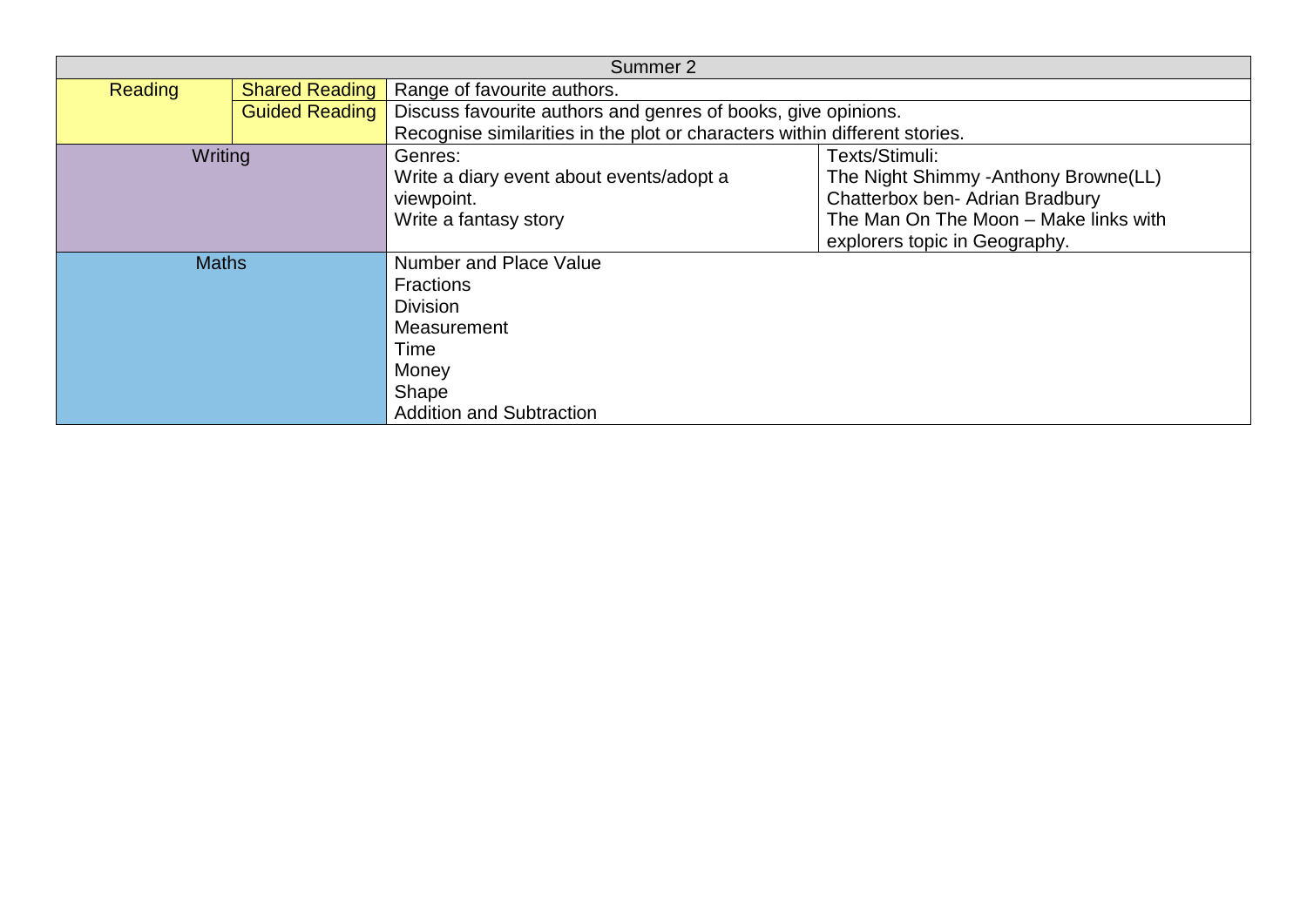| Summer 2       |                       |                                                                            |                                        |
|----------------|-----------------------|----------------------------------------------------------------------------|----------------------------------------|
| <b>Reading</b> | <b>Shared Reading</b> | Range of favourite authors.                                                |                                        |
|                | <b>Guided Reading</b> | Discuss favourite authors and genres of books, give opinions.              |                                        |
|                |                       | Recognise similarities in the plot or characters within different stories. |                                        |
| Writing        |                       | Genres:                                                                    | Texts/Stimuli:                         |
|                |                       | Write a diary event about events/adopt a                                   | The Night Shimmy - Anthony Browne (LL) |
|                |                       | viewpoint.                                                                 | Chatterbox ben- Adrian Bradbury        |
|                |                       | Write a fantasy story                                                      | The Man On The Moon - Make links with  |
|                |                       |                                                                            | explorers topic in Geography.          |
| <b>Maths</b>   |                       | <b>Number and Place Value</b>                                              |                                        |
|                |                       | <b>Fractions</b>                                                           |                                        |
|                |                       | <b>Division</b>                                                            |                                        |
|                |                       | Measurement                                                                |                                        |
|                |                       | Time                                                                       |                                        |
|                |                       | Money                                                                      |                                        |
|                |                       | Shape                                                                      |                                        |
|                |                       | <b>Addition and Subtraction</b>                                            |                                        |